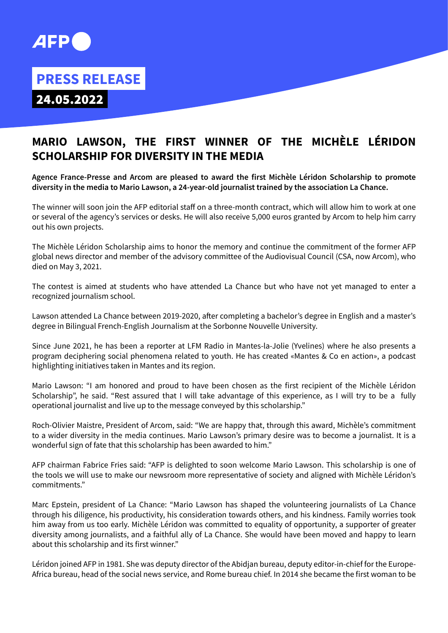

## **PRESS RELEASE**

24.05.2022

## **MARIO LAWSON, THE FIRST WINNER OF THE MICHÈLE LÉRIDON SCHOLARSHIP FOR DIVERSITY IN THE MEDIA**

**Agence France-Presse and Arcom are pleased to award the first Michèle Léridon Scholarship to promote diversity in the media to Mario Lawson, a 24-year-old journalist trained by the association La Chance.** 

The winner will soon join the AFP editorial staff on a three-month contract, which will allow him to work at one or several of the agency's services or desks. He will also receive 5,000 euros granted by Arcom to help him carry out his own projects.

The Michèle Léridon Scholarship aims to honor the memory and continue the commitment of the former AFP global news director and member of the advisory committee of the Audiovisual Council (CSA, now Arcom), who died on May 3, 2021.

The contest is aimed at students who have attended La Chance but who have not yet managed to enter a recognized journalism school.

Lawson attended La Chance between 2019-2020, after completing a bachelor's degree in English and a master's degree in Bilingual French-English Journalism at the Sorbonne Nouvelle University.

Since June 2021, he has been a reporter at LFM Radio in Mantes-la-Jolie (Yvelines) where he also presents a program deciphering social phenomena related to youth. He has created «Mantes & Co en action», a podcast highlighting initiatives taken in Mantes and its region.

Mario Lawson: "I am honored and proud to have been chosen as the first recipient of the Michèle Léridon Scholarship", he said. "Rest assured that I will take advantage of this experience, as I will try to be a fully operational journalist and live up to the message conveyed by this scholarship."

Roch-Olivier Maistre, President of Arcom, said: "We are happy that, through this award, Michèle's commitment to a wider diversity in the media continues. Mario Lawson's primary desire was to become a journalist. It is a wonderful sign of fate that this scholarship has been awarded to him."

AFP chairman Fabrice Fries said: "AFP is delighted to soon welcome Mario Lawson. This scholarship is one of the tools we will use to make our newsroom more representative of society and aligned with Michèle Léridon's commitments."

Marc Epstein, president of La Chance: "Mario Lawson has shaped the volunteering journalists of La Chance through his diligence, his productivity, his consideration towards others, and his kindness. Family worries took him away from us too early. Michèle Léridon was committed to equality of opportunity, a supporter of greater diversity among journalists, and a faithful ally of La Chance. She would have been moved and happy to learn about this scholarship and its first winner."

Léridon joined AFP in 1981. She was deputy director of the Abidjan bureau, deputy editor-in-chief for the Europe-Africa bureau, head of the social news service, and Rome bureau chief. In 2014 she became the first woman to be